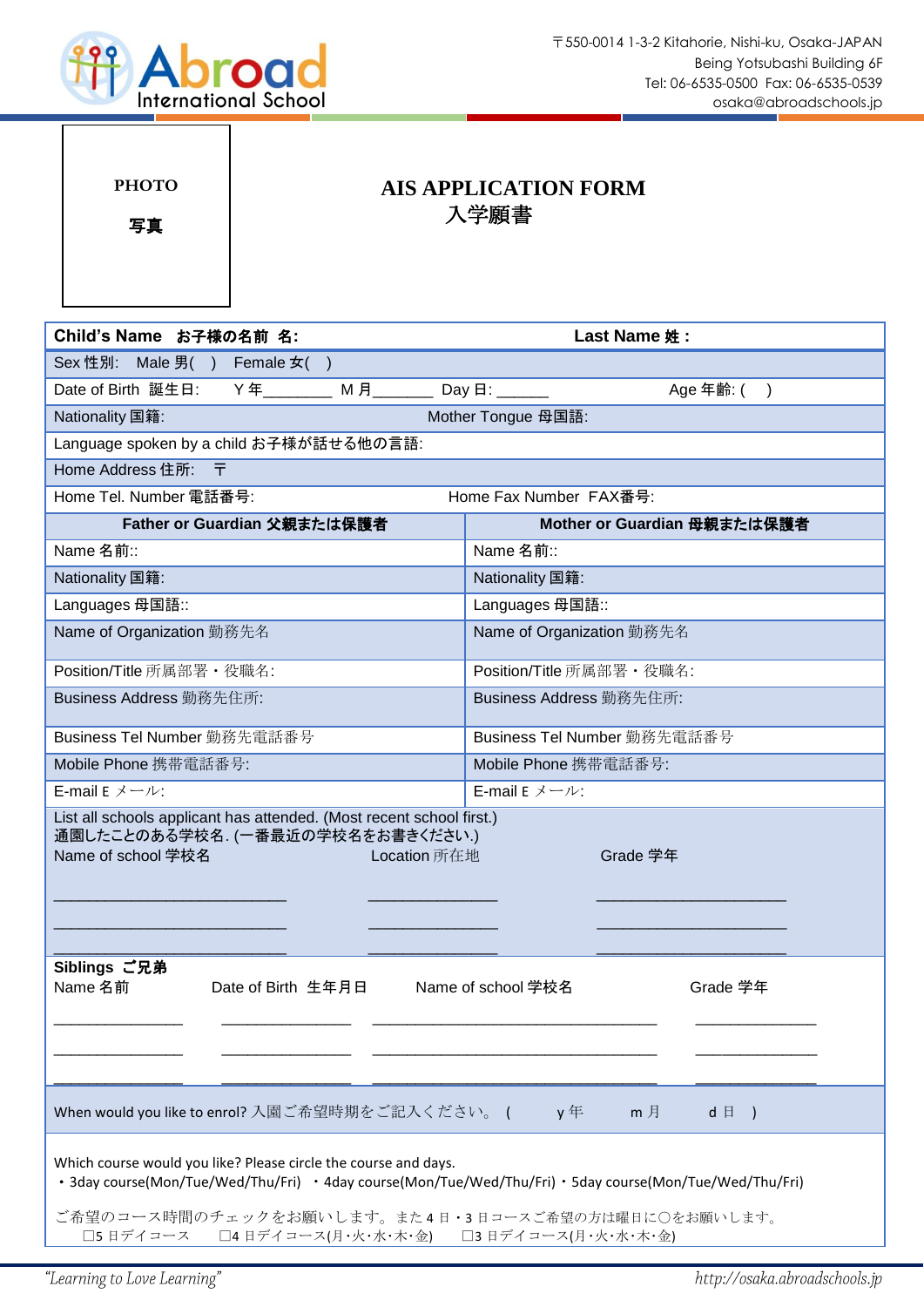

| <b>PHOTO</b><br>写真                                                                                                                                                                                                 | <b>AIS APPLICATION FORM</b><br>入学願書  |                             |                            |  |  |  |  |  |  |  |
|--------------------------------------------------------------------------------------------------------------------------------------------------------------------------------------------------------------------|--------------------------------------|-----------------------------|----------------------------|--|--|--|--|--|--|--|
| Child's Name お子様の名前 名:<br>Last Name 姓:                                                                                                                                                                             |                                      |                             |                            |  |  |  |  |  |  |  |
| Sex 性別: Male 男() Female 女()                                                                                                                                                                                        |                                      |                             |                            |  |  |  |  |  |  |  |
| Date of Birth 誕生日:                                                                                                                                                                                                 | Y年________ M 月_______                |                             | Age 年齢: ( )                |  |  |  |  |  |  |  |
| Nationality 国籍:                                                                                                                                                                                                    | Mother Tongue 母国語:                   |                             |                            |  |  |  |  |  |  |  |
| Language spoken by a child お子様が話せる他の言語:                                                                                                                                                                            |                                      |                             |                            |  |  |  |  |  |  |  |
| Home Address 住所: 〒                                                                                                                                                                                                 |                                      |                             |                            |  |  |  |  |  |  |  |
| Home Fax Number FAX番号:<br>Home Tel. Number 電話番号:                                                                                                                                                                   |                                      |                             |                            |  |  |  |  |  |  |  |
| Father or Guardian 父親または保護者                                                                                                                                                                                        |                                      | Mother or Guardian 母親または保護者 |                            |  |  |  |  |  |  |  |
| Name 名前::                                                                                                                                                                                                          |                                      | Name 名前::                   |                            |  |  |  |  |  |  |  |
| Nationality 国籍:                                                                                                                                                                                                    |                                      | Nationality 国籍:             |                            |  |  |  |  |  |  |  |
| Languages 母国語::                                                                                                                                                                                                    |                                      | Languages 母国語::             |                            |  |  |  |  |  |  |  |
| Name of Organization 勤務先名                                                                                                                                                                                          |                                      | Name of Organization 勤務先名   |                            |  |  |  |  |  |  |  |
| Position/Title 所属部署 · 役職名:                                                                                                                                                                                         |                                      | Position/Title 所属部署 · 役職名:  |                            |  |  |  |  |  |  |  |
| Business Address 勤務先住所:                                                                                                                                                                                            |                                      | Business Address 勤務先住所:     |                            |  |  |  |  |  |  |  |
| Business Tel Number 勤務先電話番号                                                                                                                                                                                        |                                      | Business Tel Number 勤務先電話番号 |                            |  |  |  |  |  |  |  |
| Mobile Phone 携帯電話番号:                                                                                                                                                                                               |                                      | Mobile Phone 携带電話番号:        |                            |  |  |  |  |  |  |  |
| E-mail $E \nless L \rightarrow L$ :                                                                                                                                                                                |                                      |                             |                            |  |  |  |  |  |  |  |
| List all schools applicant has attended. (Most recent school first.)<br>通園したことのある学校名. (一番最近の学校名をお書きください.)<br>Name of school 学校名                                                                                    | <b>Example 2019 The Location</b> 所在地 |                             | Grade 学年                   |  |  |  |  |  |  |  |
| Siblings ご兄弟<br>Name 名前                                                                                                                                                                                            | Date of Birth 生年月日                   | Name of school 学校名          | Grade 学年                   |  |  |  |  |  |  |  |
| When would you like to enrol? 入園ご希望時期をご記入ください。 (<br>Which course would you like? Please circle the course and days.                                                                                                |                                      | y年                          | m <sub>1</sub><br>$d \Box$ |  |  |  |  |  |  |  |
| · 3day course(Mon/Tue/Wed/Thu/Fri) · 4day course(Mon/Tue/Wed/Thu/Fri) · 5day course(Mon/Tue/Wed/Thu/Fri)<br>ご希望のコース時間のチェックをお願いします。また4日・3日コースご希望の方は曜日に○をお願いします。<br>□5日デイコース □4日デイコース(月・火・水・木・金) □3日デイコース(月・火・水・木・金) |                                      |                             |                            |  |  |  |  |  |  |  |